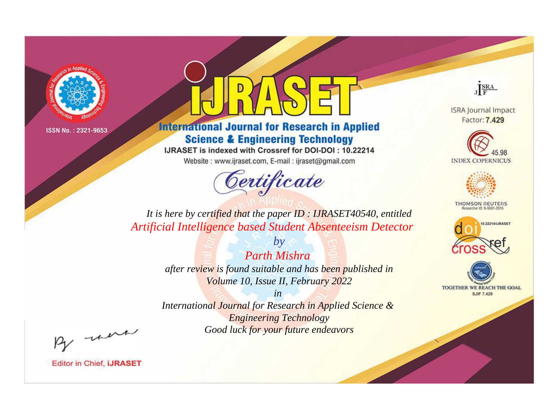



**International Journal for Research in Applied Science & Engineering Technology** 

IJRASET is indexed with Crossref for DOI-DOI: 10.22214

Website: www.ijraset.com, E-mail: ijraset@gmail.com



JERA

**ISRA Journal Impact** Factor: 7.429





**THOMSON REUTERS** 



TOGETHER WE REACH THE GOAL **SJIF 7.429** 

*It is here by certified that the paper ID : IJRASET40540, entitled Artificial Intelligence based Student Absenteeism Detector*

> *by Parth Mishra after review is found suitable and has been published in Volume 10, Issue II, February 2022*

> > *in*

*International Journal for Research in Applied Science & Engineering Technology Good luck for your future endeavors*

By morn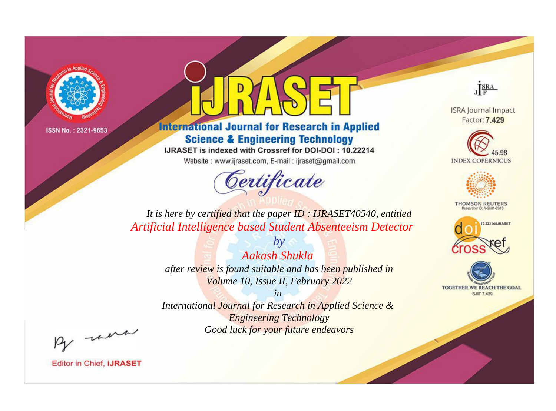



**International Journal for Research in Applied Science & Engineering Technology** 

IJRASET is indexed with Crossref for DOI-DOI: 10.22214

Website: www.ijraset.com, E-mail: ijraset@gmail.com



JERA

**ISRA Journal Impact** Factor: 7.429





**THOMSON REUTERS** 



TOGETHER WE REACH THE GOAL **SJIF 7.429** 

It is here by certified that the paper ID: IJRASET40540, entitled Artificial Intelligence based Student Absenteeism Detector

> $b\nu$ Aakash Shukla after review is found suitable and has been published in Volume 10, Issue II, February 2022

 $in$ International Journal for Research in Applied Science & **Engineering Technology** Good luck for your future endeavors

By morn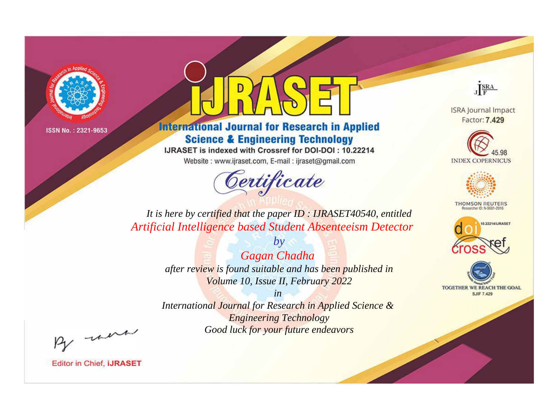



**International Journal for Research in Applied Science & Engineering Technology** 

IJRASET is indexed with Crossref for DOI-DOI: 10.22214

Website: www.ijraset.com, E-mail: ijraset@gmail.com



JERA

**ISRA Journal Impact** Factor: 7.429





**THOMSON REUTERS** 



TOGETHER WE REACH THE GOAL **SJIF 7.429** 

It is here by certified that the paper ID: IJRASET40540, entitled Artificial Intelligence based Student Absenteeism Detector

> $by$ Gagan Chadha after review is found suitable and has been published in Volume 10, Issue II, February 2022

 $in$ International Journal for Research in Applied Science & **Engineering Technology** Good luck for your future endeavors

By morn